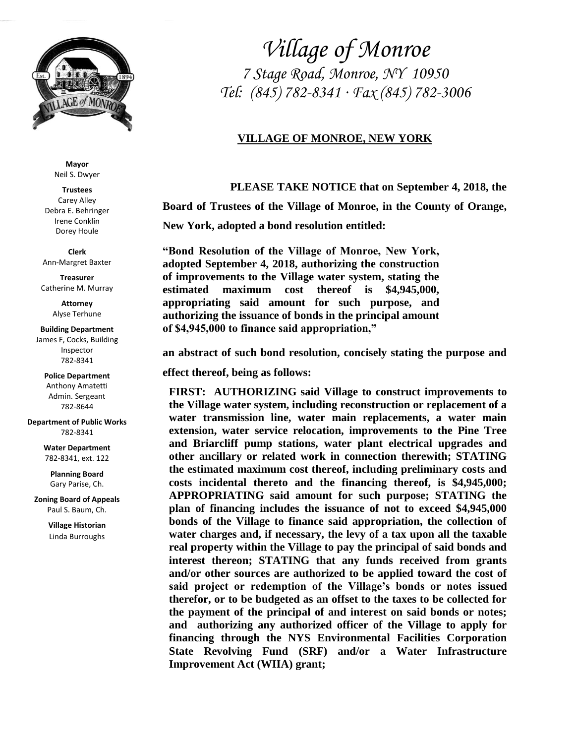

**Mayor** Neil S. Dwyer

**Trustees** Carey Alley Debra E. Behringer Irene Conklin Dorey Houle

**Clerk** Ann-Margret Baxter

**Treasurer** Catherine M. Murray

> **Attorney** Alyse Terhune

## **Building Department**

James F, Cocks, Building Inspector 782-8341

**Police Department** Anthony Amatetti Admin. Sergeant 782-8644

**Department of Public Works** 782-8341

> **Water Department** 782-8341, ext. 122

**Planning Board** Gary Parise, Ch.

**Zoning Board of Appeals** Paul S. Baum, Ch.

> **Village Historian** Linda Burroughs

*Village of Monroe 7 Stage Road, Monroe, NY 10950 Tel: (845) 782-8341 ∙ Fax (845) 782-3006*

## **VILLAGE OF MONROE, NEW YORK**

**PLEASE TAKE NOTICE that on September 4, 2018, the** 

**Board of Trustees of the Village of Monroe, in the County of Orange,** 

**New York, adopted a bond resolution entitled:**

**"Bond Resolution of the Village of Monroe, New York, adopted September 4, 2018, authorizing the construction of improvements to the Village water system, stating the estimated maximum cost thereof is \$4,945,000, appropriating said amount for such purpose, and authorizing the issuance of bonds in the principal amount of \$4,945,000 to finance said appropriation,"**

**an abstract of such bond resolution, concisely stating the purpose and** 

**effect thereof, being as follows:**

**FIRST: AUTHORIZING said Village to construct improvements to the Village water system, including reconstruction or replacement of a water transmission line, water main replacements, a water main extension, water service relocation, improvements to the Pine Tree and Briarcliff pump stations, water plant electrical upgrades and other ancillary or related work in connection therewith; STATING the estimated maximum cost thereof, including preliminary costs and costs incidental thereto and the financing thereof, is \$4,945,000; APPROPRIATING said amount for such purpose; STATING the plan of financing includes the issuance of not to exceed \$4,945,000 bonds of the Village to finance said appropriation, the collection of water charges and, if necessary, the levy of a tax upon all the taxable real property within the Village to pay the principal of said bonds and interest thereon; STATING that any funds received from grants and/or other sources are authorized to be applied toward the cost of said project or redemption of the Village's bonds or notes issued therefor, or to be budgeted as an offset to the taxes to be collected for the payment of the principal of and interest on said bonds or notes; and authorizing any authorized officer of the Village to apply for financing through the NYS Environmental Facilities Corporation State Revolving Fund (SRF) and/or a Water Infrastructure Improvement Act (WIIA) grant;**